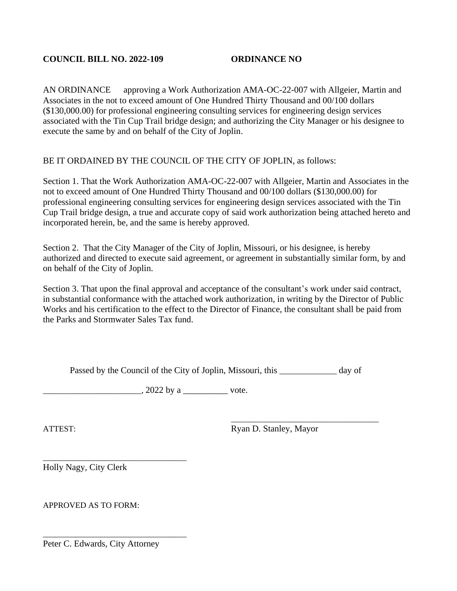AN ORDINANCE approving a Work Authorization AMA-OC-22-007 with Allgeier, Martin and Associates in the not to exceed amount of One Hundred Thirty Thousand and 00/100 dollars (\$130,000.00) for professional engineering consulting services for engineering design services associated with the Tin Cup Trail bridge design; and authorizing the City Manager or his designee to execute the same by and on behalf of the City of Joplin.

## BE IT ORDAINED BY THE COUNCIL OF THE CITY OF JOPLIN, as follows:

Section 1. That the Work Authorization AMA-OC-22-007 with Allgeier, Martin and Associates in the not to exceed amount of One Hundred Thirty Thousand and 00/100 dollars (\$130,000.00) for professional engineering consulting services for engineering design services associated with the Tin Cup Trail bridge design, a true and accurate copy of said work authorization being attached hereto and incorporated herein, be, and the same is hereby approved.

Section 2. That the City Manager of the City of Joplin, Missouri, or his designee, is hereby authorized and directed to execute said agreement, or agreement in substantially similar form, by and on behalf of the City of Joplin.

Section 3. That upon the final approval and acceptance of the consultant's work under said contract, in substantial conformance with the attached work authorization, in writing by the Director of Public Works and his certification to the effect to the Director of Finance, the consultant shall be paid from the Parks and Stormwater Sales Tax fund.

Passed by the Council of the City of Joplin, Missouri, this day of

 $\frac{2022 \text{ by a}}{2022 \text{ by a}}$  vote.

ATTEST: Ryan D. Stanley, Mayor

\_\_\_\_\_\_\_\_\_\_\_\_\_\_\_\_\_\_\_\_\_\_\_\_\_\_\_\_\_\_\_\_\_\_\_\_

Holly Nagy, City Clerk

APPROVED AS TO FORM:

Peter C. Edwards, City Attorney

\_\_\_\_\_\_\_\_\_\_\_\_\_\_\_\_\_\_\_\_\_\_\_\_\_\_\_\_\_\_\_\_\_\_\_

\_\_\_\_\_\_\_\_\_\_\_\_\_\_\_\_\_\_\_\_\_\_\_\_\_\_\_\_\_\_\_\_\_\_\_